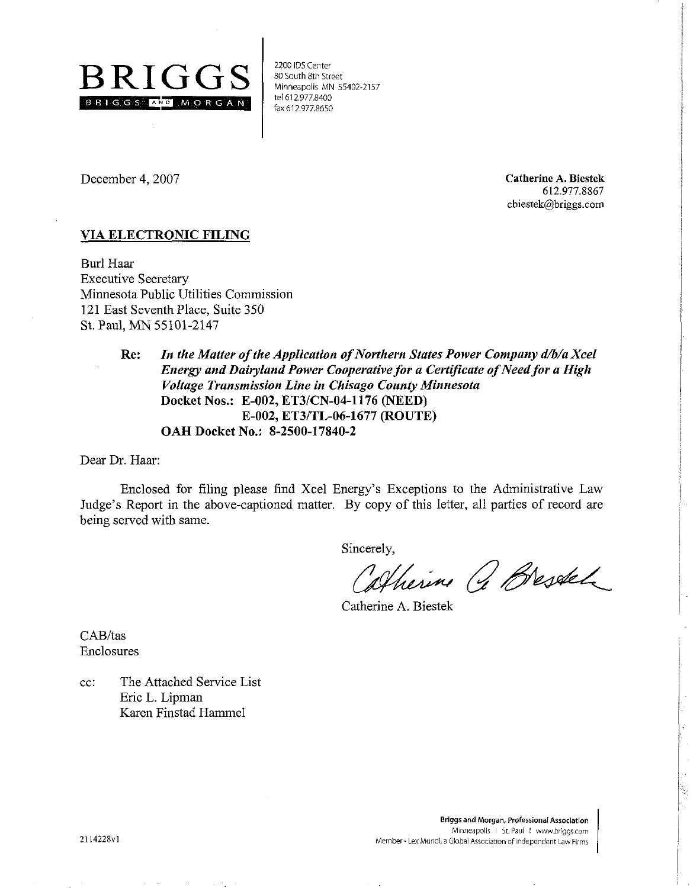

tel 612.977.8400<br>|- fax 612.977.8650 2200 IDS Center 80 South 8th Street Minneapolis MN 55402-2157

December 4.2007

**Catherine A. Biestek**  612.977.8867 cbiestek@briggs.com

## **VIA ELECTRONIC RILING**

Burl Haar Executive Secretary Minnesota Public Utilities Commission 121 East Seventh Place, Suite 350 St. Paul, MN 55101-2147

> **Re:** *In the Matter of the Application of Northern States Power Company d/b/a Xcel Energy and Dairyland Power Cooperative for a Certificate of Need for a High Voltage Transmission Line in Chisago County Minnesota*  **Docket Nos.: E-002, ET3ICN-04-1176 (NEED) E-002, ET3lTL-06-1677 (ROUTE) OAH Docket No.: 8-2500-17840-2**

Dear Dr. Haar:

Enclosed for filing please find Xcel Energy's Exceptions to the Administrative Law Judge's Report in the above-captioned matter. By copy of this letter, all parties of record are being served with same.

Sincerely,

Colherine & Bresdel

Catherine A. Biestek

CAB/tas Enclosures

cc: The Attached Service List Eric L. Lipman Karen Finstad Hammel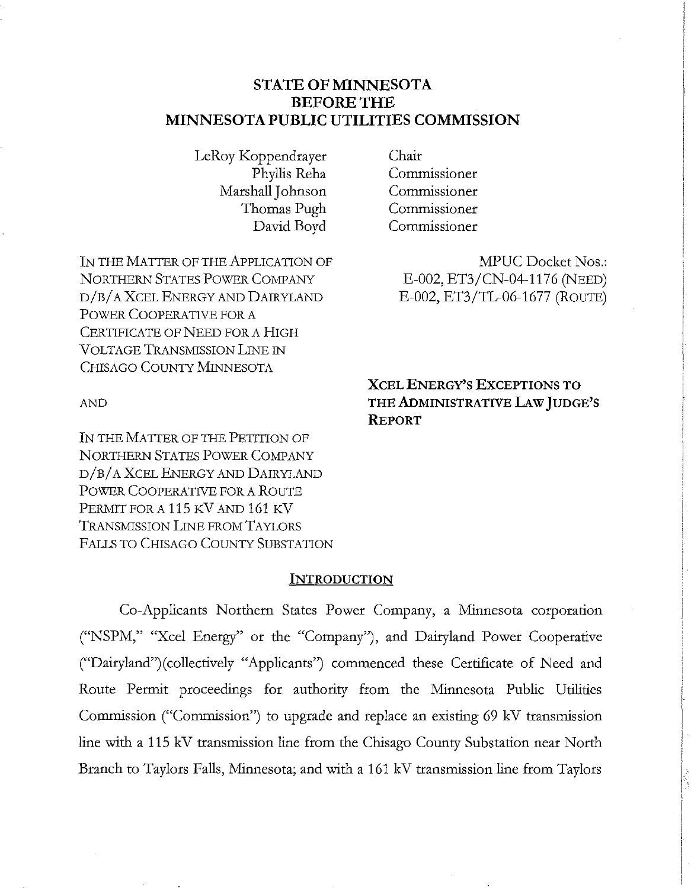# **STATE OF MINNESOTA BEFORE THE MINNESOTA PUBLIC UTILITIES COMMISSION**

LeRoy Koppendrayer Chair<br>Phyllis Reha Comm Marshall Johnson Commissioner Thomas Pugh Commissioner

IN THE MATTER OF THE APPLICATION OF MPUC Docket Nos.: NORTHERN STATES POWER COMPANY E-002, ET3/CN-04-1176 (NEED) D/B/A XCEL ENERGY AND DAIRYLAND **E-002**, ET3/TL-06-1677 (ROUTE) POWER COOPERATIVE FOR A CERTIFICATE OF NEED FOR A HIGH VOLTAGE TRANSMISSION LINE IN CHISAGO COUNTY MINNESOTA

Commissioner David Boyd Commissioner

**XCEL ENERGY'S EXCEPTIONS TO AND THE ADMINISTRATIVE LAW JUDGE'S REPORT** 

IN THE MATTER OF THE PETITION OF NORTHERN STATES POWER COMPANY D/B/A XCEL ENERGY AND DAIRYLAND POWER COOPERATIVE FOR A ROUTE PERMIT FOR A 115 KV AND 161 KV TRANSMISSION LINE FROM TAYLORS FALLS TO CHISAGO COUNTY SUBSTATION

### **INTRODUCTION**

Co-Applicants Northern States Power Company, a Minnesota corporation ("NSPM," "Xcel Energy" or the "Company"), and Dairyland Power Cooperative ("Dairyland")(collectively "Applicants") commenced these Certificate of Need and Route Permit proceedings for authority from the Minnesota Public Utilities Commission ("Commission") to upgrade and replace an existing 69 kV transmission line with a 115 kV transmission line from the Chisago County Substation near North Branch to Taylors Falls, Minnesota; and with a 161 kV transmission line from Taylors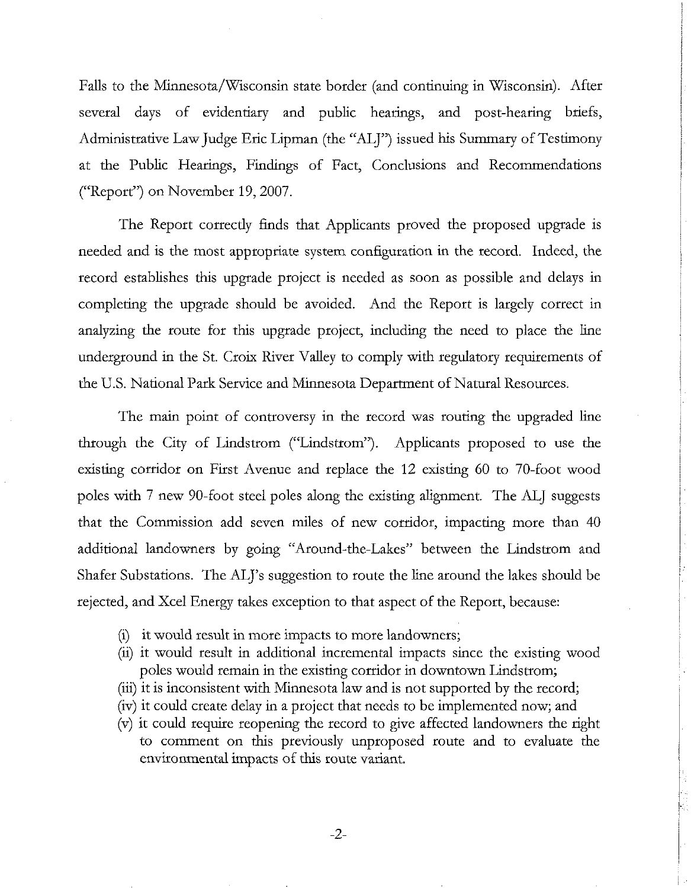Falls to the Minnesota/Wisconsin state border (and continuing in Wisconsin). After several days of evidentiary and public hearings, and post-hearing briefs, Administrative Law Judge Eric Lipman (the "ALJ") issued his Summary of Testimony at the Public Hearings, Findings of Fact, Conclusions and Recommendations ("Report") on November 19,2007.

The Report correctly finds that Applicants proved the proposed upgrade is needed and is the most appropriate system configuration in the record. Indeed, the record establishes this upgrade project is needed as soon as possible and delays in completing the upgrade should be avoided. And the Report is largely correct in analyzing the route for this upgrade project, including the need to place the line underground in the St. Croix River Valley to comply with regulatory requirements of the U.S. National Park Service and Mmnesota Department of Natural Resources.

The main point of controversy in the record was routing the upgraded line through the City of Lindstrom ("Lindstrom"). Applicants proposed to use the existing corridor on First Avenue and replace the 12 existing 60 to 70-foot wood poles with 7 new 90-foot steel poles along the existing alignment. The ALJ suggests that the Commission add seven miles of new corridor, impacting more than 40 additional landowners by going "Around-the-Lakes" between the Lindstrom and Shafer Substations. The ALJ's suggestion to route the line around the lakes should be rejected, and Xcel Energy takes exception to that aspect of the Report, because:

- (i) it would result in more impacts to more landowners;
- (ii) it would result in addtional incremental impacts since the existing wood poles would remain in the existing corridor in downtown Lindstrom;
- (iii) it is inconsistent with Minnesota law and is not supported by the record;
- (iv) it could create delay in a project that needs to be implemented now; and
- (v) it could require reopening the record to gve affected landowners the right to comment on this previously unproposed route and to evaluate the environmental impacts of this route variant.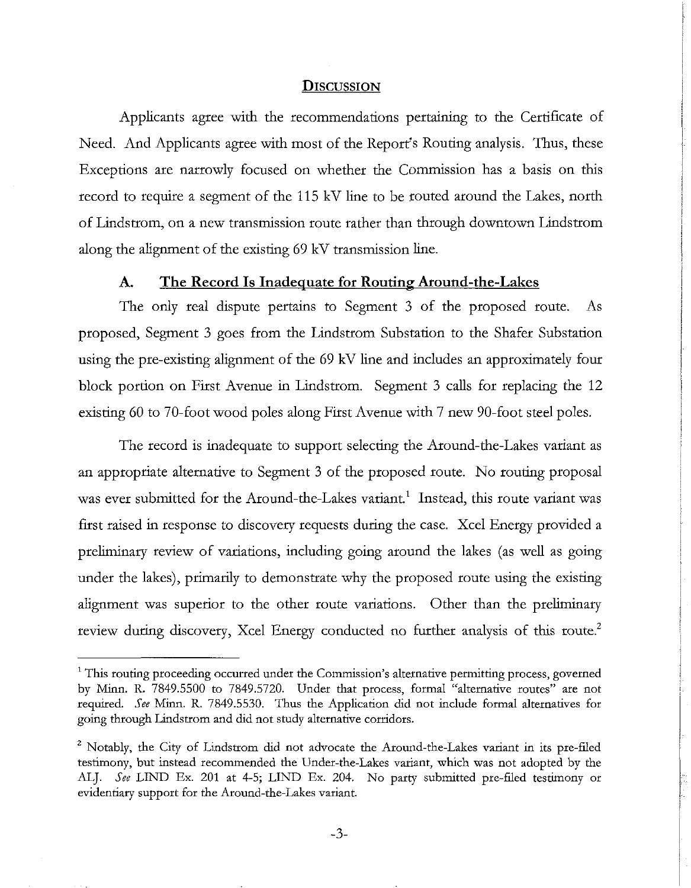#### **DISCUSSION**

Applicants agree with the recommendations pertaining to the Certificate of Need. And Applicants agree with most of the Report's Routing analysis. Thus, these Exceptions are narrowly focused on whether the Commission has a basis on this record to require a segment of the 115 kV line to be routed around the Lakes, north of Lindstrom, on a new transmission route rather than through downtown Lindstrom along the alignment of the existing 69 kV transmission line.

# A. The Record Is Inadequate for Routing Around-the-Lakes

The only real dispute pertains to Segment 3 of the proposed route. As proposed, Segment 3 goes from the Lindstrom Substation to the Shafer Substation using the pre-existing alignment of the 69 kV line and includes an approximately four block portion on First Avenue in Lindstrom. Segment 3 calls for replacing the 12 existing 60 to 70-foot wood poles along First Avenue with 7 new 90-foot steel poles.

The record is inadequate to support selecting the Around-the-Lakes variant as an appropriate alternative to Segment 3 of the proposed route. No routing proposal was ever submitted for the Around-the-Lakes variant.<sup>1</sup> Instead, this route variant was first raised in response to discovery requests during the case. Xcel Energy provided a preliminary review of variations, including going around the lakes (as well as going under the lakes), primarily to demonstrate why the proposed route using the existing alignment was superior to the other route variations. Other than the preliminary review during discovery, Xcel Energy conducted no further analysis of this route.<sup>2</sup>

<sup>&</sup>lt;sup>1</sup> This routing proceeding occurred under the Commission's alternative permitting process, governed by Minn. R. 7849.5500 to 7849.5720. Under that process, formal "alternative routes" are not required. See Minn. R. 7849.5530. Thus the Application did not include formal alternatives for going through Lindstrom and did not study alternative corridors.

<sup>&</sup>lt;sup>2</sup> Notably, the City of Lindstrom did not advocate the Around-the-Lakes variant in its pre-filed testimony, but instead recommended the Under-the-Lakes variant, which was not adopted by the ALJ. See LIND Ex. 201 at 4-5; LIND Ex. 204. No party submitted pre-filed testimony or evidentiary support for the Around-the-Lakes variant.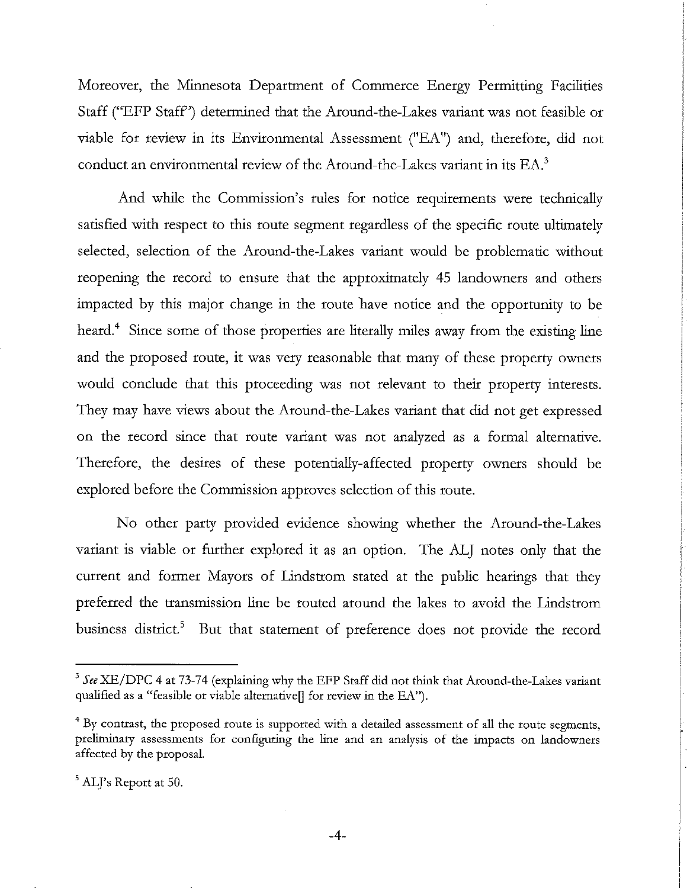Moreover, the Minnesota Department of Commerce Energy Permitting Facilities Staff ("EFP Staff') determined that the Around-the-Lakes variant was not feasible or viable for review in its Environmental Assessment ("EA") and, therefore, did not conduct an environmental review of the Around-the-Lakes variant in its EA.<sup>3</sup>

And whde the Commission's rules for notice requirements were technically satisfied with respect to this route segment regardless of the specific route ultimately selected, selection of the Around-the-Lakes variant would be problematic without reopening the record to ensure that the approximately 45 landowners and others impacted by this major change in the route have notice and the opportunity to be heard.<sup>4</sup> Since some of those properties are literally miles away from the existing line and the proposed route, it was very reasonable that many of these property owners would conclude that this proceedmg was not relevant to their property interests. They may have views about the Around-the-Lakes variant that did not get expressed on the record since that route variant was not analyzed as a formal alternative. Therefore, the desires of these potentially-affected property owners should be explored before the Commission approves selection of this route.

No other party provided evidence showing whether the Around-the-Lakes variant is viable or further explored it as an option. The ALJ notes only that the current and former Mayors of Lindstrom stated at the public hearings that they preferred the transmission line be routed around the lakes to avoid the Lindstrom business district.<sup>5</sup> But that statement of preference does not provide the record

*See* **XE/DPC** 4 at 73-74 (explaining why the EFP Staff did not **think** that Around-the-Lakes variant qualified as a "feasible or viable alternative[] for review in the EA").

**<sup>4</sup>**By contrast, the proposed route is supported with a detailed assessment of **all** the route segments, preliminary assessments for configuring the line and an analysis of the impacts on landowners affected by the proposal.

 $<sup>5</sup>$  ALJ's Report at 50.</sup>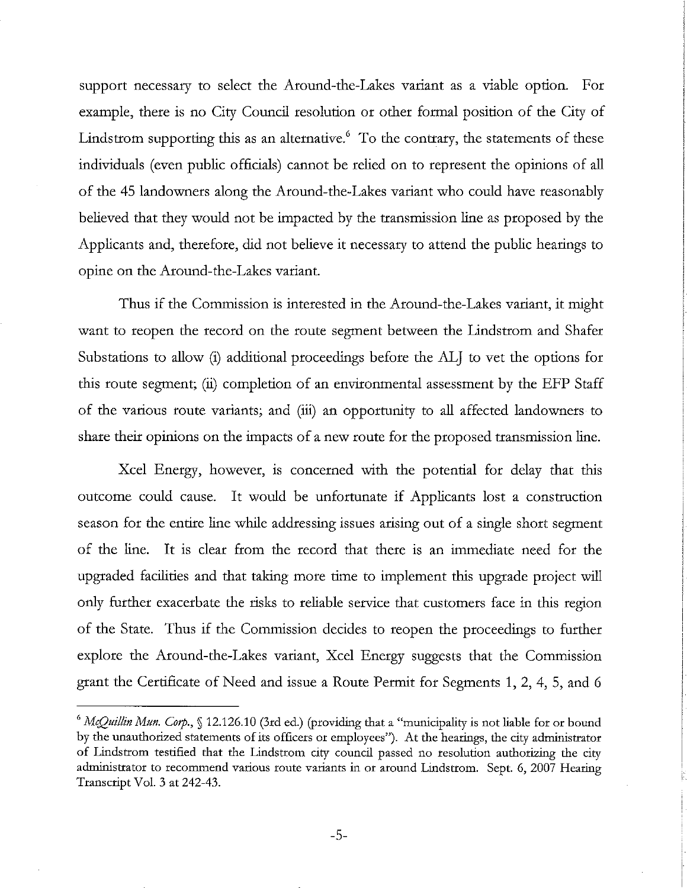support necessary to select the Around-the-Lakes variant as a viable option. For example, there is no City Council resolution or other formal position of the City of Lindstrom supporting this as an alternative. $6\degree$  To the contrary, the statements of these individuals (even public officials) cannot be relied on to represent the opinions of all of the 45 landowners along the Around-the-Lakes variant who could have reasonably believed that they would not be impacted by the transmission line as proposed by the Applicants and, therefore, did not believe it necessary to attend the public hearings to opine on the Around-the-Lakes variant.

Thus if the Commission is interested in the Around-the-Lakes variant, it might want to reopen the record on the route segment between the Lindstrom and Shafer Substations to allow (i) additional proceedings before the ALJ to vet the options for this route segment; (ii) completion of an environmental assessment by the EFP Staff of the various route variants; and (iii) an opportunity to all affected landowners to share their opinions on the impacts of a new route for the proposed transmission line.

Xcel Energy, however, is concerned with the potential for delay that this outcome could cause. It would be unfortunate if Applicants lost a construction season for the entire line whde addressing issues arising out of a single short segment of the line. It is clear from the record that there is an immediate need for the upgraded facdities and that taking more time to implement this upgrade project will only further exacerbate the risks to reliable service that customers face in this region of the State. Thus if the Commission decides to reopen the proceedings to further explore the Around-the-Lakes variant, Xcel Energy suggests that the Commission grant the Certificate of Need and issue a Route Permit for Segments 1, 2, 4, 5, and 6

<sup>&</sup>lt;sup>6</sup> McQuillin Mun. Corp.,  $\int$  12.126.10 (3rd ed.) (providing that a "municipality is not liable for or bound by the unauthorized statements of its officers or employees"). At the hearings, the city administrator of Lindstrom testified that the Lindstrom city council passed no resolution authorizing the city administrator to recommend various route variants in or around Lindstrom. Sept. 6,2007 Hearing Transcript Vol. **3** at 242-43.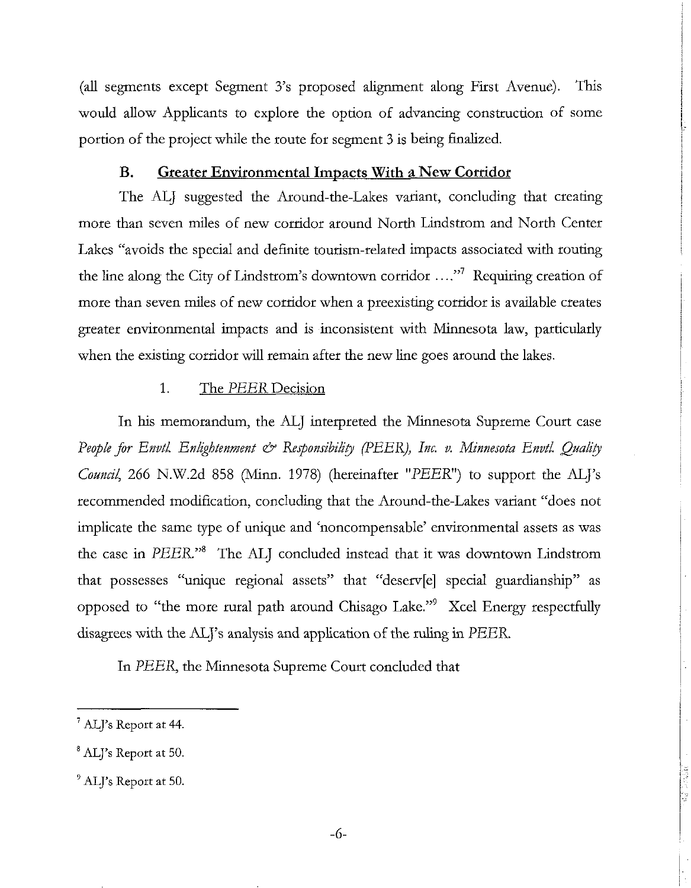(all segments except Segment 3's proposed alignment along First Avenue). This would allow Applicants to explore the option of advancing construction of some portion of the project whde the route for segment **3** is being finalized.

# **B.** Greater Environmental Impacts With a New Corridor

The ALJ suggested the Around-the-Lakes variant, concluding that creating more than seven miles of new corridor around North Lindstrom and North Center Lakes "avoids the special and definite tourism-related impacts associated with routing the line along the City of Lindstrom's downtown corridor  $\ldots$ <sup>7</sup> Requiring creation of more than seven miles of new corridor when a preexisting corridor is available creates greater environmental impacts and is inconsistent with Minnesota law, particularly when the existing corridor will remain after the new line goes around the lakes.

# 1. The *PEER* Decision

In his memorandum, the ALJ interpreted the Minnesota Supreme Court case *People for Envtl. Enlightenment*  $\dot{\infty}$  *Responsibility (PEER), Inc. v. Minnesota Envtl. Quality Council*, 266 N.W.2d 858 (Minn. 1978) (hereinafter "PEER") to support the ALJ's recommended modification, concluding that the Around-the-Lakes variant "does not implicate the same type of unique and 'noncompensable' environmental assets as was the case in *PEER."8* The ALJ concluded instead that it was downtown Lindstrom that possesses "unique regional assets" that "deserv[e] special guardianship" as opposed to "the more rural path around Chisago Lake."<sup>9</sup> Xcel Energy respectfully disagrees with the ALJ's analysis and application of the ruling in *PEER*.

In *PEER*, the Minnesota Supreme Court concluded that

<sup>&#</sup>x27; ALJ's Report at 44.

<sup>&</sup>lt;sup>8</sup> ALJ's Report at 50.

<sup>&</sup>lt;sup>9</sup> ALJ's Report at 50.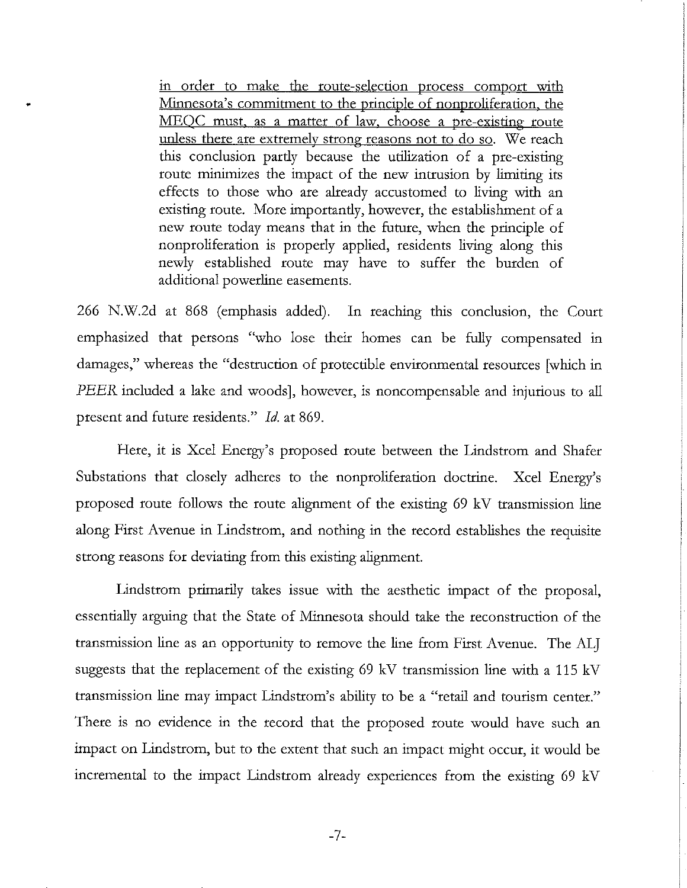in order to make the route-selection process comport with Minnesota's commitment to the principle of nonproliferation. the MEQC must, as a matter of law, choose a pre-existing route unless there are extremely strong reasons not to do so. We reach hs conclusion partly because the utdization of a pre-existing route minimizes the impact of the new intrusion by limiting its effects to those who are already accustomed to living with an existing route. More importantly, however, the establishment of a new route today means that in the future, when the principle of nonproliferation is properly applied, residents living along this newly established route may have to suffer the burden of additional powerline easements.

266 N.W.2d at 868 (emphasis added). In reaching this conclusion, the Court emphasized that persons "who lose their homes can be fully compensated in damages," whereas the "destruction of protectible environmental resources [which in PEER included a lake and woods], however, is noncompensable and injurious to all present and future residents." Id. at 869.

Here, it is Xcel Energy's proposed route between the Lindstrom and Shafer Substations that closely adheres to the nonproliferation doctrine. Xcel Energy's proposed route follows the route alignment of the existing 69 kV transmission line along First Avenue in Lindstrom, and nothing in the record establishes the requisite strong reasons for deviating from this existing alignment.

Lindstrom primarily takes issue with the aesthetic impact of the proposal, essentially arguing that the State of Minnesota should take the reconstruction of the transmission line as an opportunity to remove the line from First Avenue. The ALJ suggests that the replacement of the existing 69 kV transmission line with a 115 kV transmission line may impact Lindstrom's ability to be a "retail and tourism center." There is no evidence in the record that the proposed route would have such an impact on Lindstrom, but to the extent that such an impact might occur, it would be incremental to the impact Lindstrom already experiences from the existing 69 kV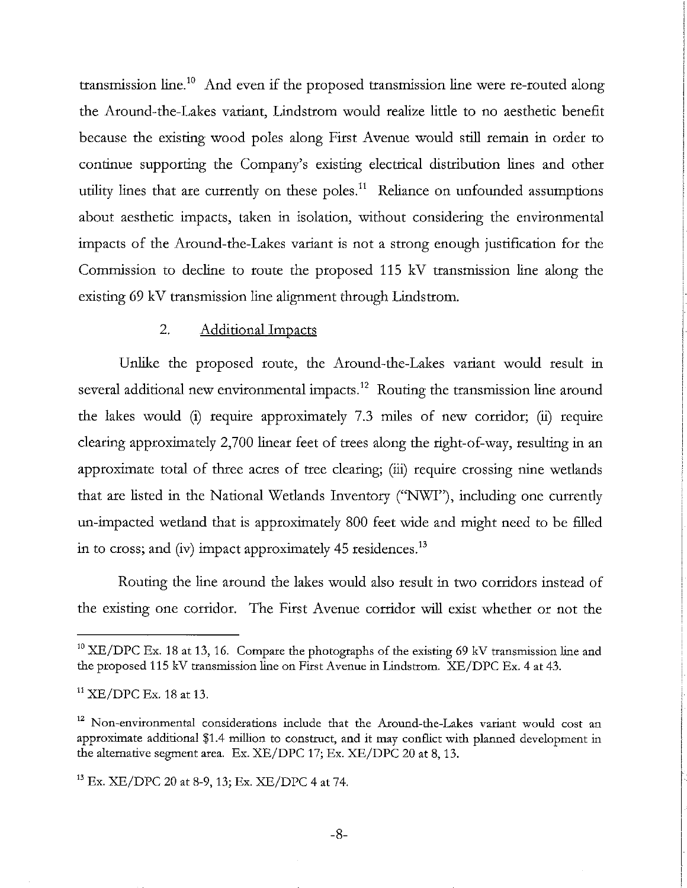transmission line.<sup>10</sup> And even if the proposed transmission line were re-routed along the Around-the-Lakes variant, Lindstrom would realize little to no aesthetic benefit because the existing wood poles along First Avenue would still remain in order to continue supporting the Company's existing electrical distribution lines and other utility lines that are currently on these poles.<sup>11</sup> Reliance on unfounded assumptions about aesthetic impacts, taken in isolation, without considering the environmental impacts of the Around-the-Lakes variant is not a strong enough justification for the Commission to decline to route the proposed 115 kV transmission line along the existing 69 kV transmission line alignment through Lindstrom.

# 2. Additional Impacts

Unlike the proposed route, the Around-the-Lakes variant would result in several additional new environmental impacts.<sup>12</sup> Routing the transmission line around the lakes would (i) require approximately 7.3 rmles of new corridor; (ii) require clearing approximately 2,700 linear feet of trees along the right-of-way, resulting in an approximate total of three acres of tree clearing; (iii) require crossing nine wetlands that are listed in the National Wetlands Inventory ("NWI"), including one currently un-impacted wetland that is approximately 800 feet wide and might need to be filled in to cross; and (iv) impact approximately  $45$  residences.<sup>13</sup>

Routing the line around the lakes would also result in two corridors instead of the existing one corridor. The First Avenue corridor WIU exist whether or not the

<sup>&</sup>lt;sup>10</sup> XE/DPC Ex. 18 at 13, 16. Compare the photographs of the existing 69 kV transmission line and the proposed 115 **kV** transmission line on First Avenue in Lindstrom. XE/DPC Ex. 4 at 43.

 $11$  XE/DPC Ex. 18 at 13.

<sup>&</sup>lt;sup>12</sup> Non-environmental considerations include that the Around-the-Lakes variant would cost an approximate additional \$1.4 million to construct, and it may conflict with planned development in the alternative segment area. Ex. XE/DPC 17; Ex. XE/DPC 20 at 8,13.

**l3** Ex. XE/DPC 20 at 8-9,13; Ex. XE/DPC 4 at 74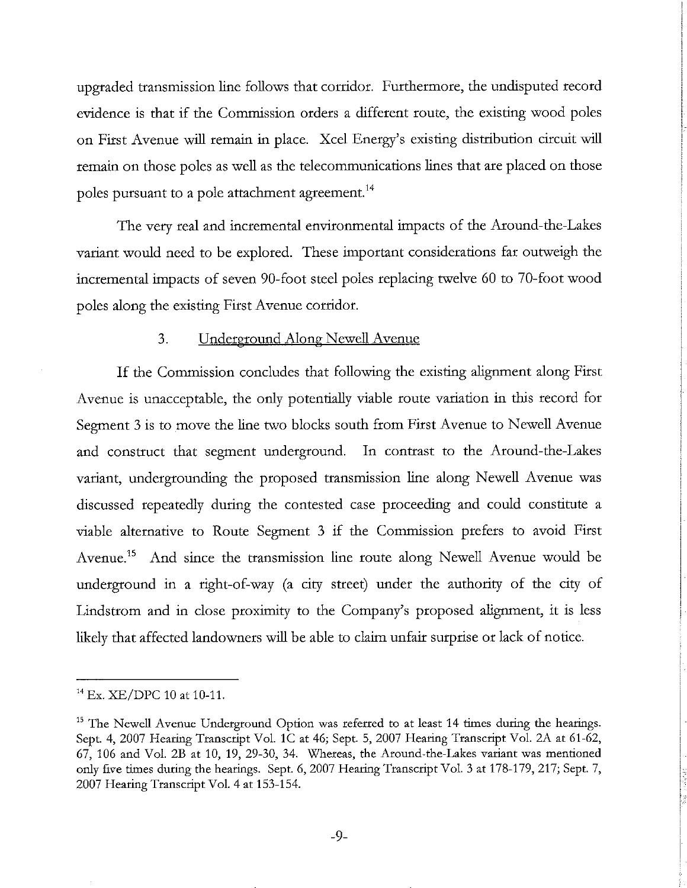upgraded transmission line follows that corridor. Furthermore, the undisputed record evidence is that if the Commission orders a different route, the existing wood poles on First Avenue will remain in place. Xcel Energy's existing distribution circuit will remain on those poles as well as the telecommunications lines that are placed on those poles pursuant to a pole attachment agreement.<sup>14</sup>

The very real and incremental environmental impacts of the Around-the-Lakes variant would need to be explored. These important considerations far outweigh the incremental impacts of seven 90-foot steel poles replacing twelve 60 to 70-foot wood poles along the existing First Avenue corridor.

# 3. Underground Along Newell Avenue

If the Commission concludes that following the existing alignment along First Avenue is unacceptable, the only potentially viable route variation in this record for Segment 3 is to move the line two blocks south from First Avenue to Newell Avenue and construct that segment underground. In contrast to the Around-the-Lakes variant, undergrounding the proposed transmission line along Newell Avenue was discussed repeatedly during the contested case proceeding and could constitute a viable alternative to Route Segment 3 if the Commission prefers to avoid First Avenue.<sup>15</sup> And since the transmission line route along Newell Avenue would be underground in a right-of-way (a city street) under the authority of the city of Lindstrom and in close proximity to the Company's proposed alignment, it is less likely that affected landowners will be able to claim unfair surprise or lack of notice.

 $14$  Ex. XE/DPC 10 at 10-11.

<sup>&</sup>lt;sup>15</sup> The Newell Avenue Underground Option was referred to at least 14 times during the hearings. Sept. 4, 2007 Hearing Transcript Vol. 1C at 46; Sept. 5, 2007 Hearing Transcript Vol. 2A at 61-62, 67, 106 and Vol. 2B at 10, 19, 29-30, 34. Whereas, the Around-the-Lakes variant was mentioned only five times during the hearings. Sept. 6,2007 Hearing Transcript Vol. 3 at 178-179,217; Sept. 7, 2007 Hearing Transcript Vol. 4 at 153.154.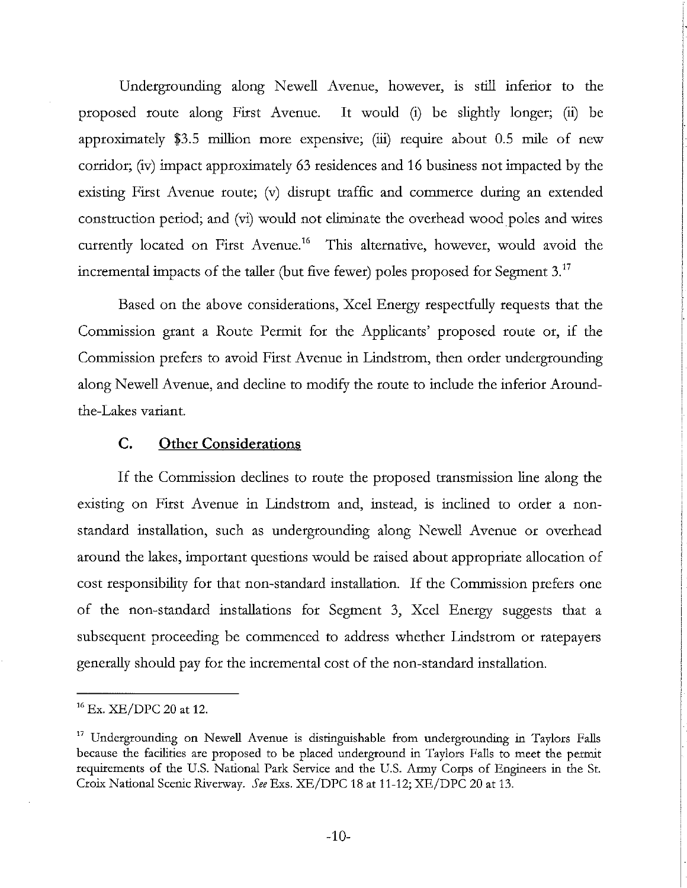Undergrounding along Newell Avenue, however, is still inferior to the proposed route along First Avenue. It would (i) be slightly longer; (ii) be approximately \$3.5 million more expensive; (iii) require about 0.5 mile of new corridor; (iv) impact approximately 63 residences and 16 business not impacted by the existing First Avenue route; (v) disrupt traffic and commerce during an extended construction period; and (vi) would not elimnate the overhead wood poles and wires currently located on First Avenue.<sup>16</sup> This alternative, however, would avoid the incremental impacts of the taller (but five fewer) poles proposed for Segment 3.<sup>17</sup>

Based on the above considerations, Xcel Energy respectfully requests that the Commission grant a Route Permit for the Applicants' proposed route or, if the Commission prefers to avoid First Avenue in Lindstrom, then order undergrounding along Newell Avenue, and decline to modify the route to include the inferior Aroundthe-lakes variant.

# C. Other Considerations

If the Commission declines to route the proposed transmission line along the existing on First Avenue in Lindstrom and, instead, is inclined to order a nonstandard installation, such as undergrounding along Newell Avenue or overhead around the lakes, important questions would be raised about appropriate allocation of cost responsibility for that non-standard installation. If the Commission prefers one of the non-standard installations for Segment 3, Xcel Energy suggests that a subsequent proceeding be commenced to address whether Lindstrom or ratepayers generally should pay for the incremental cost of the non-standard installation.

**l6** Ex. XE/DPC 20 at 12.

<sup>&</sup>lt;sup>17</sup> Undergrounding on Newell Avenue is distinguishable from undergrounding in Taylors Falls because the facilities are proposed to be placed underground in Taylors Falls to meet the permit requirements of the U.S. National Park Service and the U.S. Army Corps of Engmeers in the St. Croix National Scenic Riverway. See Exs. XE/DPC 18 at 11-12; XE/DPC 20 at 13.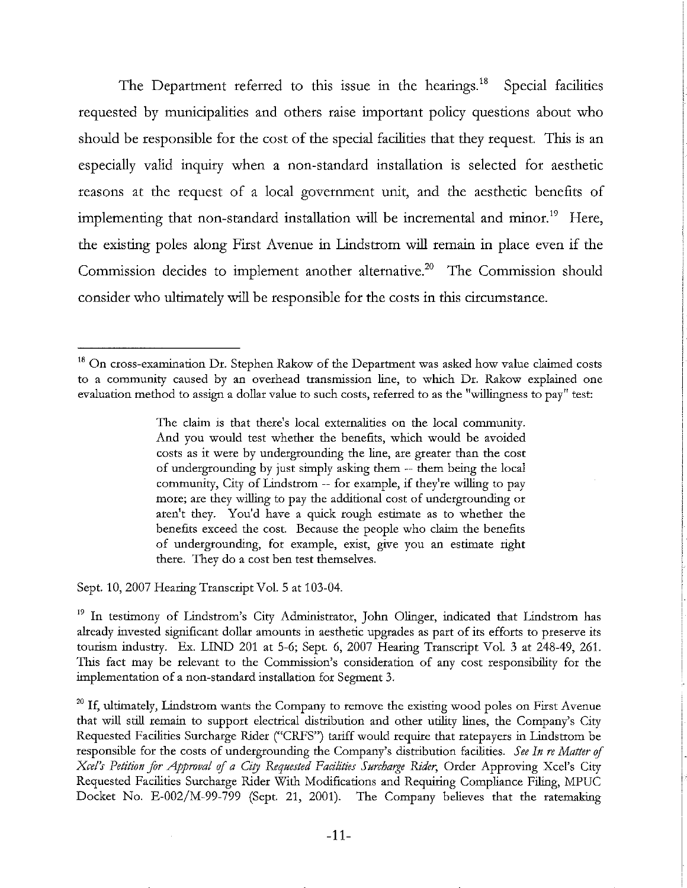The Department referred to this issue in the hearings.<sup>18</sup> Special facilities requested by municipalities and others raise important policy questions about who should be responsible for the cost of the special facilities that they request. This is an especially valid inquuy when a non-standard installation is selected for aesthetic reasons at the request of a local government unit, and the aesthetic benefits of implementing that non-standard installation will be incremental and minor.<sup>19</sup> Here, the existing poles along First Avenue in Lindstrom will remain in place even if the Commission decides to implement another alternative.<sup>20</sup> The Commission should consider who ultimately will be responsible for the costs in this circumstance.

The claim is that there's local externalities on the local community. And you would test whether the benefits, which would be avoided costs as it were by undergrounding the line, are greater than the cost of undergrounding by just simply asking them -- them being the local community, City of Lindstrom -- for example, if they're willing to pay more; are they willing to pay the additional cost of undergrounding or aren't they. You'd have a quick rough estimate as to whether the benefits exceed the cost. Because the people who claim the benefits of undergrounding, for example, exist, give you an estimate right there. They do a cost ben test themselves.

Sept. 10,2007 Hearing Transcript Vol. 5 at 103-04

<sup>19</sup> In testimony of Lindstrom's City Administrator, John Olinger, indicated that Lindstrom has already invested sigmficant dollar amounts in aesthetic upgrades as part of its efforts to preserve its tourism industry. Ex. LIND 201 at 5-6; Sept. 6, 2007 Hearing Transcript Vol. 3 at 248-49, 261. This fact may be relevant to the Commission's consideration of any cost responsibility for the implementation of a non-standard installation for Segment **3.** 

 $20$  If, ultimately, Lindstrom wants the Company to remove the existing wood poles on First Avenue that will still remain to support electrical distribution and other utility lines, the Company's City Requested Facilities Surcharge Rider ("CRFS") tariff would require that ratepayers in Lindstrom be responsible for the costs of undergrounding the Company's distribution facilities. See In re Matter of *Xcel's Petition for Approval of a City Requested Facilities Surcharge Rider, Order Approving Xcel's City* Requested Facilities Surcharge Rider With Modifications and Requiring Compliance Filing, MPUC Docket No. E-002/M-99-799 (Sept. 21, 2001). The Company believes that the ratemaking

**<sup>18</sup>**On cross-examination Dr. Stephen Rakow of the Department was asked how value claimed costs to a community caused by an overhead transmission line, to which Dr. Rakow explained one evaluation method to asslgn a dollar value to such costs, referred to as the "willingness to pay" test: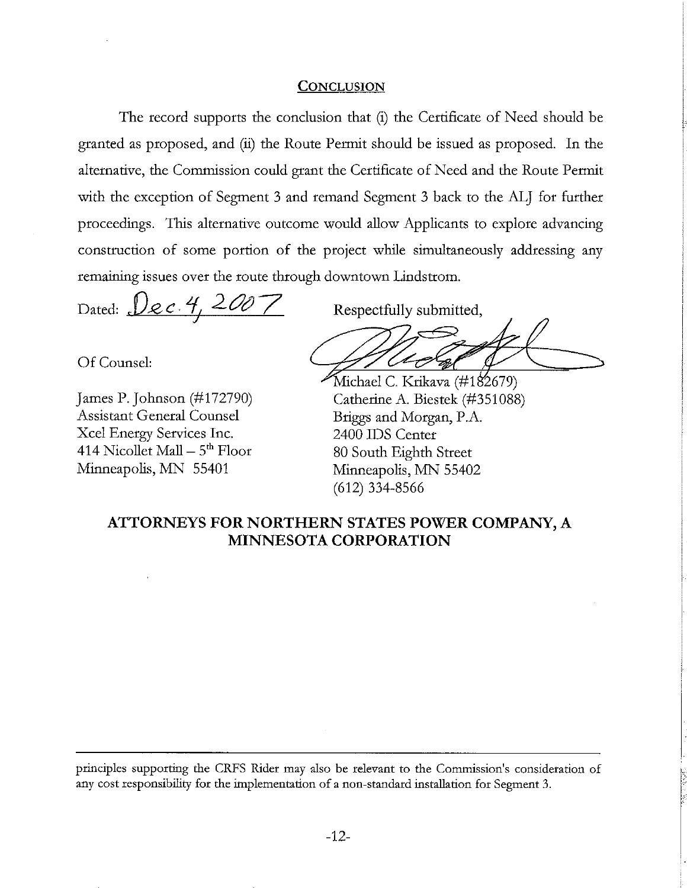#### **CONCLUSION**

The record supports the conclusion that (i) the Certificate of Need should be granted as proposed, and (ii) the Route Permit should be issued as proposed. In the alternative, the Commission could grant the Certificate of Need and the Route Permit with the exception of Segment 3 and remand Segment 3 back to the ALJ for further proceedings. This alternative outcome would allow Applicants to explore advancing construction of some portion of the project whde simultaneously addressing any remaining issues over the route through downtown Lindstrom.

Dated:  $\mathcal{Q}_{\ell} c \cdot 4, 2007$  Respectfully submitted,

Of Counsel:

Assistant General Counsel Briggs and Morgan, P.A. Xcel Energy Services Inc. 2400 IDS Center 414 Nicollet Mall  $-5^{th}$  Floor 80 South Eighth Street<br>Minneapolis, MN 55401 Minneapolis, MN 5540

Michael C. Krikava (#182679) James P. Johnson (#172790) Catherine A. Biestek (#351088) Minneapolis, MN 55402 (612) 334-8566

# **ATTORNEYS FOR NORTHERN STATES POWER COMPANY, A MINNESOTA CORPORATION**

principles supporting the CRFS Rider may also be relevant to the Commission's consideration of any cost responsibility for the implementation of a non-standard installation for Segment **3.**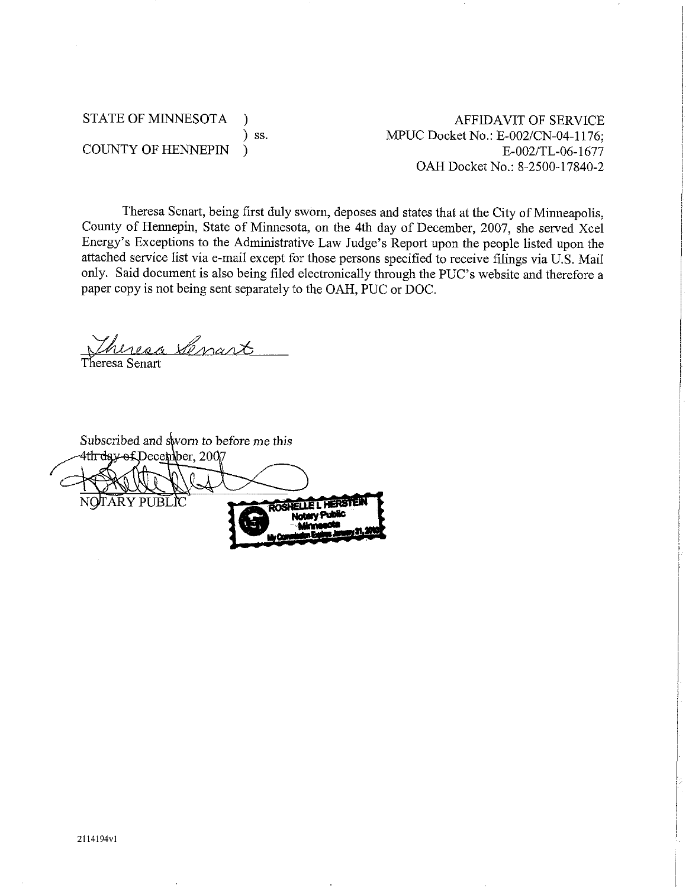# STATE OF MINNESOTA ) ) ss. COUNTY OF HENNEPIN )

AFFIDAVIT OF SERVICE MPUC Docket No.: E-002/CN-04-1176; E-002/TL-06-1677 OAH Docket No.: 8-2500-17840-2

Theresa Senart, being first duly sworn, deposes and states that at the City of Minneapolis, County of Hennepin, State of Minnesota, on the 4th day of December, 2007, she served Xcel Energy's Exceptions to the Administrative Law Judge's Report upon the people listed upon the attached service list via e-mail except for those persons specified to receive filings via U.S. Mail only. Said document is also being filed electronically through the PUC's website and therefore a paper copy is not being sent separately to the OAH, PUC or DOC.

heresa Senart Theresa Senart

Subscribed and sworn to before me this<br>4th day-of December, 2007 TARY PUBLIC **RUELLE L'HERSTI**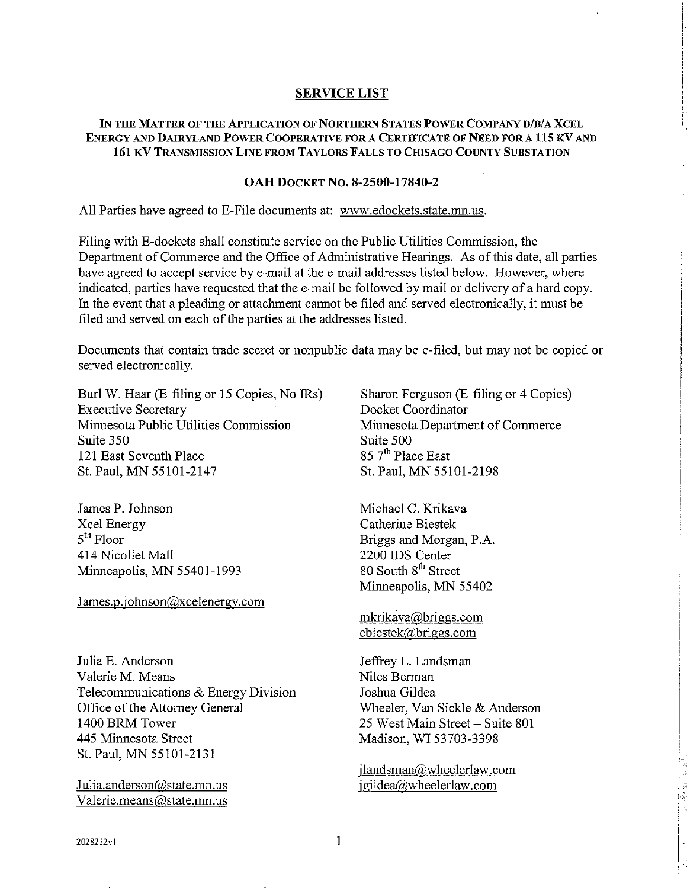#### **SERVICE LIST**

### IN THE MATTER OF THE APPLICATION OF NORTHERN STATES POWER COMPANY D/B/A XCEL **ENERGY AND DAIRYLAND POWER COOPERATIVE FOR A CERTIFICATE OF NEED FOR A 115 KV AND 161 KV TRANSMISSION LINE FROM TAYLORS FALLS TO CHISAGO COUNTY SUBSTATION**

#### **OAH DOCKET NO. 8-2500-17840-2**

All Parties have agreed to E-File documents at: **www.edockets.state.mn.us.** 

Filing with E-dockets shall constitute service on the Public Utilities Commission, the Department of Commerce and the Office of Administrative Hearings. As of this date, all parties have agreed to accept service by e-mail at the e-mail addresses listed below. However, where indicated, parties have requested that the e-mail be followed by mail or delivery of a hard copy. In the event that a pleading or attachment cannot be filed and served electronically, it must be filed and served on each of the parties at the addresses listed.

Documents that contain trade secret or nonpublic data may be e-filed, but may not be copied or served electronically.

Burl W. Haar (E-filing or 15 Copies, No IRs) Sharon Ferguson (E-filing or 4 Copies) Executive Secretary Docket Coordinator Minnesota Public Utilities Commission Minnesota Department of Commerce Suite 350<br>121 East Seventh Place<br>121 East Seventh Place<br>121 East Seventh Place 121 East Seventh Place St. Paul, MN 55101-2147 St. Paul, MN 55101-2198

James P. Johnson Michael C. Krikava Xcel Energy Catherine Biestek<br>
5<sup>th</sup> Floor Briggs and Morga 5<sup>th</sup> Floor Briggs and Morgan, P.A.<br>414 Nicollet Mall 2200 IDS Center Minneapolis, MN 55401-1993

James.p.iohnson@xcelenergy.com

Julia E. Anderson Valerie M. Means Telecommunications & Energy Division Office of the Attorney General 1400 BRM Tower 445 Minnesota Street St. Paul, MN 55101-2131

Julia.anderson@state.mn.us Valerie.means@state.mn.us

2200 IDS Center<br>80 South  $8<sup>th</sup>$  Street Minneapolis, MN 55402

mkrikava@briggs.com cbiestek@,briggs.com

Jeffrey L. Landsman Niles Berman Joshua Gildea Wheeler, Van Sickle & Anderson 25 West Main Street - Suite 801 Madison, WI 53703-3398

jlandsman@wheelerlaw.com jgildea@wheelerlaw.com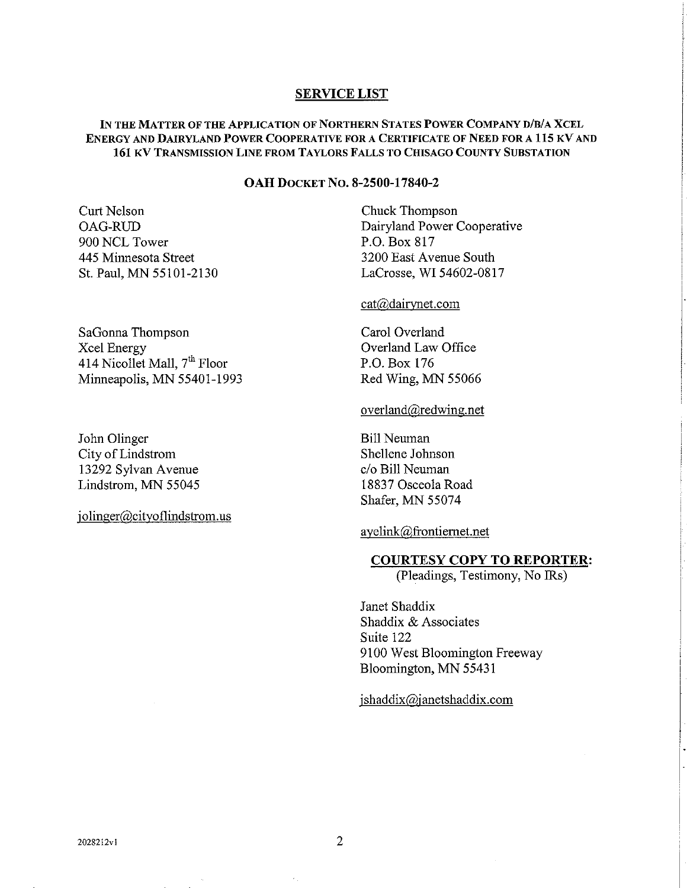### **SERVICE LIST**

## **IN THE MATTER OF THE APPLICATION OF NORTHERN STATES POWER COMPANY D/B/A XCEL ENERGY AND DAIRYLAND POWER COOPERATIVE FOR A CERTIFICATE OF NEED FOR A 115 KV AND 161 KV TRANSMISSION LINE FROM TAYLORS FALLS TO CHISAGO COUNTY SUBSTATION**

#### **OAH DOCKET NO.** 8-2500-17840-2

Curt Nelson OAG-RUD 900 NCL Tower 445 Minnesota Street St. Paul, MN 55101-2130

SaGonna Thompson Xcel Energy 414 Nicollet Mall, 7<sup>th</sup> Floor Minneapolis, MN 55401-1993

John Olinger City of Lindstrom 13292 Sylvan Avenue Lindstrom, MN 55045

jolinger@cityoflindstrom.us

Chuck Thompson Dairyland Power Cooperative P.O. Box 817 3200 East Avenue South Lacrosse, WI 54602-0817

### cat@dairynet.com

Carol Overland Overland Law Office P.O. Box 176 Red Wing, MN 55066

#### overland@redwing.net

Bill Neuman Shellene Johnson C/O Bill Neuman 18837 Osceola Road Shafer. MN 55074

ayelink@frontiernet.net

### **COURTESY COPY TO REPORTER:**

(Pleadings, Testimony, No IRs)

Janet Shaddix Shaddix & Associates Suite 122 9100 West Bloomington Freeway Bloomington, MN 5543 1

### jshaddix@janetshaddix.com